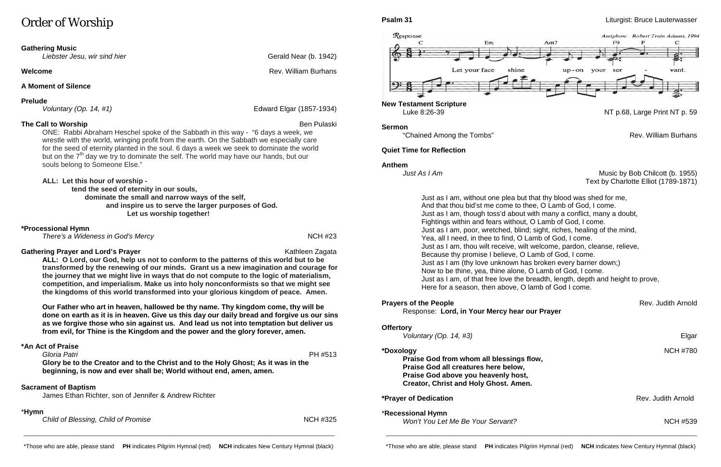# Order of Worship

#### **Gathering Music**

*Liebster Jesu, wir sind hier* Gerald Near (b. 1942)

#### **Welcome Rev. William Burhans**

#### **A Moment of Silence**

**Prelude**<br>Voluntary (Op. 14, #1)

#### **The Call to Worship Ben Pulaski** Ben Pulaski Ben Pulaski Ben Pulaski Ben Pulaski Ben Pulaski

*Voluntary (Op. 14, #1)* Edward Elgar (1857-1934)

### **Gathering Prayer and Lord's Prayer** Mathleen Zagata Kathleen Zagata

ONE: Rabbi Abraham Heschel spoke of the Sabbath in this way - "6 days a week, we wrestle with the world, wringing profit from the earth. On the Sabbath we especially care for the seed of eternity planted in the soul. 6 days a week we seek to dominate the world but on the  $7<sup>th</sup>$  day we try to dominate the self. The world may have our hands, but our souls belong to Someone Else."

**ALL: Let this hour of worship -**

 **tend the seed of eternity in our souls, dominate the small and narrow ways of the self, and inspire us to serve the larger purposes of God. Let us worship together!**

#### **\*Processional Hymn**

*There's a Wideness in God's Mercy* NCH #23

**ALL: O Lord, our God, help us not to conform to the patterns of this world but to be transformed by the renewing of our minds. Grant us a new imagination and courage for the journey that we might live in ways that do not compute to the logic of materialism, competition, and imperialism. Make us into holy nonconformists so that we might see the kingdoms of this world transformed into your glorious kingdom of peace. Amen.**

*Music by Bob Chilcott (b. 1955)* Text by Charlotte Elliot (1789-1871)

**Our Father who art in heaven, hallowed be thy name. Thy kingdom come, thy will be done on earth as it is in heaven. Give us this day our daily bread and forgive us our sins as we forgive those who sin against us. And lead us not into temptation but deliver us from evil, for Thine is the Kingdom and the power and the glory forever, amen.**

# **\*An Act of Praise**

*Gloria Patri* PH #513 **Glory be to the Creator and to the Christ and to the Holy Ghost; As it was in the beginning, is now and ever shall be; World without end, amen, amen.**

#### **Sacrament of Baptism**

James Ethan Richter, son of Jennifer & Andrew Richter

#### \***Hymn**

**Child of Blessing, Child of Promise** NCH #325



**New Testament Scripture**

#### **Sermon**

"Chained Among the Tombs" Rev. William Burhans

#### **Quiet Time for Reflection**

**Anthem**<br>*Just As I Am* 

Just as I am, without one plea but that thy blood was shed for me, And that thou bid'st me come to thee, O Lamb of God, I come. Just as I am, though toss'd about with many a conflict, many a doubt, Fightings within and fears without, O Lamb of God, I come. Just as I am, poor, wretched, blind; sight, riches, healing of the mind, Yea, all I need, in thee to find, O Lamb of God, I come. Just as I am, thou wilt receive, wilt welcome, pardon, cleanse, relieve, Because thy promise I believe, O Lamb of God, I come. Just as I am (thy love unknown has broken every barrier down;) Now to be thine, yea, thine alone, O Lamb of God, I come. Here for a season, then above, O lamb of God I come.

**Prayers of the People** Rev. Judith Arnold **Rev. Judith Arnold** 

- 
- 
- 
- 
- 
- 
- 
- 
- 
- 
- Just as I am, of that free love the breadth, length, depth and height to prove,
	-

Response: **Lord, in Your Mercy hear our Prayer**

#### **Offertory**

*Voluntary (Op. 14, #3)* Elgar

#### **\*Doxology** NCH #780

**Praise God from whom all blessings flow, Praise God all creatures here below, Praise God above you heavenly host, Creator, Christ and Holy Ghost. Amen.**

**\*Prayer of Dedication Rev. Judith Arnold** 

#### \***Recessional Hymn**

*Won't You Let Me Be Your Servant?* NCH #539

\_\_\_\_\_\_\_\_\_\_\_\_\_\_\_\_\_\_\_\_\_\_\_\_\_\_\_\_\_\_\_\_\_\_\_\_\_\_\_\_\_\_\_\_\_\_\_\_\_\_\_\_\_\_\_\_\_\_\_\_\_\_\_\_\_\_\_\_\_\_\_\_\_\_\_\_\_\_\_\_\_\_\_\_\_\_\_\_\_\_\_\_\_\_\_

\_\_\_\_\_\_\_\_\_\_\_\_\_\_\_\_\_\_\_\_\_\_\_\_\_\_\_\_\_\_\_\_\_\_\_\_\_\_\_\_\_\_\_\_\_\_\_\_\_\_\_\_\_\_\_\_\_\_\_\_\_\_\_\_\_\_\_\_\_\_\_\_\_\_\_\_\_\_\_\_\_\_\_\_\_\_\_\_\_\_\_\_\_\_\_

#### **Psalm 31** Liturgist: Bruce Lauterwasser

NT p.68, Large Print NT p. 59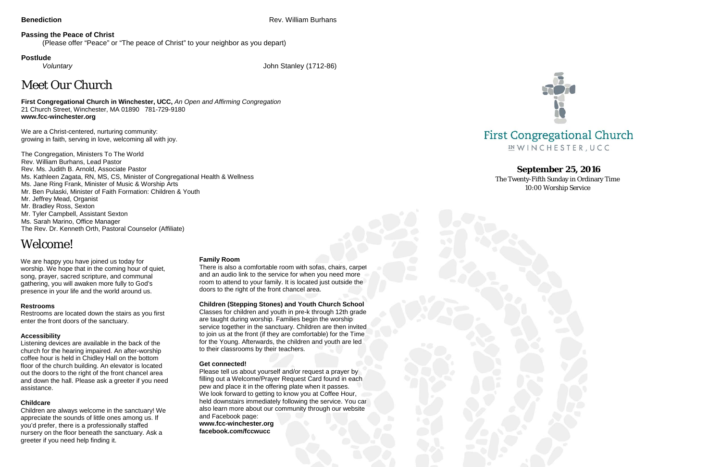**Benediction** Rev. William Burhans

### **Passing the Peace of Christ**

(Please offer "Peace" or "The peace of Christ" to your neighbor as you depart)

### **Postlude**

*Voluntary* John Stanley (1712-86)

# Meet Our Church

**First Congregational Church in Winchester, UCC,** *An Open and Affirming Congregation* 21 Church Street, Winchester, MA 01890 781-729-9180 **www.fcc-winchester.org**

We are a Christ-centered, nurturing community: growing in faith, serving in love, welcoming all with joy.

We are happy you have joined us today for worship. We hope that in the coming hour of quiet, song, prayer, sacred scripture, and communal gathering, you will awaken more fully to God's presence in your life and the world around us.

The Congregation, Ministers To The World Rev. William Burhans, Lead Pastor Rev. Ms. Judith B. Arnold, Associate Pastor Ms. Kathleen Zagata, RN, MS, CS, Minister of Congregational Health & Wellness Ms. Jane Ring Frank, Minister of Music & Worship Arts Mr. Ben Pulaski, Minister of Faith Formation: Children & Youth Mr. Jeffrey Mead, Organist Mr. Bradley Ross, Sexton Mr. Tyler Campbell, Assistant Sexton Ms. Sarah Marino, Office Manager The Rev. Dr. Kenneth Orth, Pastoral Counselor (Affiliate)

# Welcome!

### **Restrooms**

Restrooms are located down the stairs as you first enter the front doors of the sanctuary.

### **Accessibility**

Listening devices are available in the back of the church for the hearing impaired. An after-worship coffee hour is held in Chidley Hall on the bottom floor of the church building. An elevator is located out the doors to the right of the front chancel area and down the hall. Please ask a greeter if you need assistance.

### **Childcare**

Children are always welcome in the sanctuary! We appreciate the sounds of little ones among us. If you'd prefer, there is a professionally staffed nursery on the floor beneath the sanctuary. Ask a greeter if you need help finding it.

#### **Family Room**

There is also a comfortable room with sofas, chairs, carpet and an audio link to the service for when you need more room to attend to your family. It is located just outside the doors to the right of the front chancel area.

#### **Children (Stepping Stones) and Youth Church School**

Classes for children and youth in pre-k through 12th grade are taught during worship. Families begin the worship service together in the sanctuary. Children are then invited to join us at the front (if they are comfortable) for the Time for the Young. Afterwards, the children and youth are led to their classrooms by their teachers.

#### **Get connected!**

Please tell us about yourself and/or request a prayer by filling out a Welcome/Prayer Request Card found in each pew and place it in the offering plate when it passes. We look forward to getting to know you at Coffee Hour, held downstairs immediately following the service. You can also learn more about our community through our website and Facebook page: **www.fcc-winchester.org facebook.com/fccwucc**

## **First Congregational Church** IN WINCHESTER, UCC



### **September 25, 2016**

The Twenty-Fifth Sunday in Ordinary Time 10:00 Worship Service